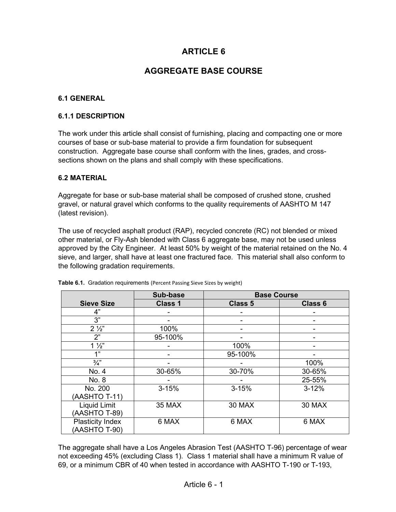# **ARTICLE 6**

# **AGGREGATE BASE COURSE**

#### **6.1 GENERAL**

#### **6.1.1 DESCRIPTION**

The work under this article shall consist of furnishing, placing and compacting one or more courses of base or sub-base material to provide a firm foundation for subsequent construction. Aggregate base course shall conform with the lines, grades, and crosssections shown on the plans and shall comply with these specifications.

#### **6.2 MATERIAL**

Aggregate for base or sub-base material shall be composed of crushed stone, crushed gravel, or natural gravel which conforms to the quality requirements of AASHTO M 147 (latest revision).

The use of recycled asphalt product (RAP), recycled concrete (RC) not blended or mixed other material, or Fly-Ash blended with Class 6 aggregate base, may not be used unless approved by the City Engineer. At least 50% by weight of the material retained on the No. 4 sieve, and larger, shall have at least one fractured face. This material shall also conform to the following gradation requirements.

|                         | Sub-base       | <b>Base Course</b> |                |
|-------------------------|----------------|--------------------|----------------|
| <b>Sieve Size</b>       | <b>Class 1</b> | <b>Class 5</b>     | <b>Class 6</b> |
| 4"                      |                |                    |                |
| 3"                      |                |                    |                |
| $2\frac{1}{2}$          | 100%           |                    |                |
| 2"                      | 95-100%        |                    |                |
| $1\frac{1}{2}$          |                | 100%               |                |
| 1"                      |                | 95-100%            |                |
| $\frac{3}{4}$           |                |                    | 100%           |
| No. 4                   | 30-65%         | 30-70%             | 30-65%         |
| No. 8                   |                |                    | 25-55%         |
| No. 200                 | $3 - 15%$      | $3 - 15%$          | $3 - 12%$      |
| (AASHTO T-11)           |                |                    |                |
| Liquid Limit            | 35 MAX         | 30 MAX             | 30 MAX         |
| (AASHTO T-89)           |                |                    |                |
| <b>Plasticity Index</b> | 6 MAX          | 6 MAX              | 6 MAX          |
| (AASHTO T-90)           |                |                    |                |

|  |  | Table 6.1. Gradation requirements (Percent Passing Sieve Sizes by weight) |
|--|--|---------------------------------------------------------------------------|
|--|--|---------------------------------------------------------------------------|

The aggregate shall have a Los Angeles Abrasion Test (AASHTO T-96) percentage of wear not exceeding 45% (excluding Class 1). Class 1 material shall have a minimum R value of 69, or a minimum CBR of 40 when tested in accordance with AASHTO T-190 or T-193,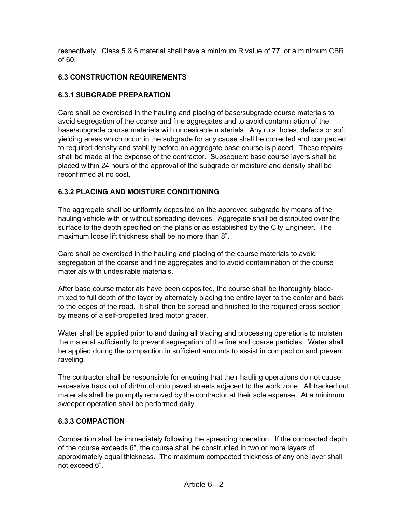respectively. Class 5 & 6 material shall have a minimum R value of 77, or a minimum CBR of 60.

## **6.3 CONSTRUCTION REQUIREMENTS**

## **6.3.1 SUBGRADE PREPARATION**

Care shall be exercised in the hauling and placing of base/subgrade course materials to avoid segregation of the coarse and fine aggregates and to avoid contamination of the base/subgrade course materials with undesirable materials. Any ruts, holes, defects or soft yielding areas which occur in the subgrade for any cause shall be corrected and compacted to required density and stability before an aggregate base course is placed. These repairs shall be made at the expense of the contractor. Subsequent base course layers shall be placed within 24 hours of the approval of the subgrade or moisture and density shall be reconfirmed at no cost.

## **6.3.2 PLACING AND MOISTURE CONDITIONING**

The aggregate shall be uniformly deposited on the approved subgrade by means of the hauling vehicle with or without spreading devices. Aggregate shall be distributed over the surface to the depth specified on the plans or as established by the City Engineer. The maximum loose lift thickness shall be no more than 8".

Care shall be exercised in the hauling and placing of the course materials to avoid segregation of the coarse and fine aggregates and to avoid contamination of the course materials with undesirable materials.

After base course materials have been deposited, the course shall be thoroughly blademixed to full depth of the layer by alternately blading the entire layer to the center and back to the edges of the road. It shall then be spread and finished to the required cross section by means of a self-propelled tired motor grader.

Water shall be applied prior to and during all blading and processing operations to moisten the material sufficiently to prevent segregation of the fine and coarse particles. Water shall be applied during the compaction in sufficient amounts to assist in compaction and prevent raveling.

The contractor shall be responsible for ensuring that their hauling operations do not cause excessive track out of dirt/mud onto paved streets adjacent to the work zone. All tracked out materials shall be promptly removed by the contractor at their sole expense. At a minimum sweeper operation shall be performed daily.

## **6.3.3 COMPACTION**

Compaction shall be immediately following the spreading operation. If the compacted depth of the course exceeds 6", the course shall be constructed in two or more layers of approximately equal thickness. The maximum compacted thickness of any one layer shall not exceed 6".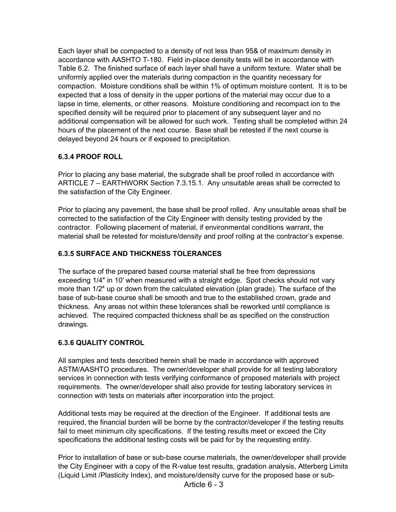Each layer shall be compacted to a density of not less than 95& of maximum density in accordance with AASHTO T-180. Field in-place density tests will be in accordance with Table 6.2. The finished surface of each layer shall have a uniform texture. Water shall be uniformly applied over the materials during compaction in the quantity necessary for compaction. Moisture conditions shall be within 1% of optimum moisture content. It is to be expected that a loss of density in the upper portions of the material may occur due to a lapse in time, elements, or other reasons. Moisture conditioning and recompact ion to the specified density will be required prior to placement of any subsequent layer and no additional compensation will be allowed for such work. Testing shall be completed within 24 hours of the placement of the next course. Base shall be retested if the next course is delayed beyond 24 hours or if exposed to precipitation.

## **6.3.4 PROOF ROLL**

Prior to placing any base material, the subgrade shall be proof rolled in accordance with ARTICLE 7 – EARTHWORK Section 7.3.15.1. Any unsuitable areas shall be corrected to the satisfaction of the City Engineer.

Prior to placing any pavement, the base shall be proof rolled. Any unsuitable areas shall be corrected to the satisfaction of the City Engineer with density testing provided by the contractor. Following placement of material, if environmental conditions warrant, the material shall be retested for moisture/density and proof rolling at the contractor's expense.

## **6.3.5 SURFACE AND THICKNESS TOLERANCES**

The surface of the prepared based course material shall be free from depressions exceeding 1/4″ in 10′ when measured with a straight edge. Spot checks should not vary more than 1/2″ up or down from the calculated elevation (plan grade). The surface of the base of sub-base course shall be smooth and true to the established crown, grade and thickness. Any areas not within these tolerances shall be reworked until compliance is achieved. The required compacted thickness shall be as specified on the construction drawings.

### **6.3.6 QUALITY CONTROL**

All samples and tests described herein shall be made in accordance with approved ASTM/AASHTO procedures. The owner/developer shall provide for all testing laboratory services in connection with tests verifying conformance of proposed materials with project requirements. The owner/developer shall also provide for testing laboratory services in connection with tests on materials after incorporation into the project.

Additional tests may be required at the direction of the Engineer. If additional tests are required, the financial burden will be borne by the contractor/developer if the testing results fail to meet minimum city specifications. If the testing results meet or exceed the City specifications the additional testing costs will be paid for by the requesting entity.

Prior to installation of base or sub-base course materials, the owner/developer shall provide the City Engineer with a copy of the R-value test results, gradation analysis, Atterberg Limits (Liquid Limit /Plasticity Index), and moisture/density curve for the proposed base or sub